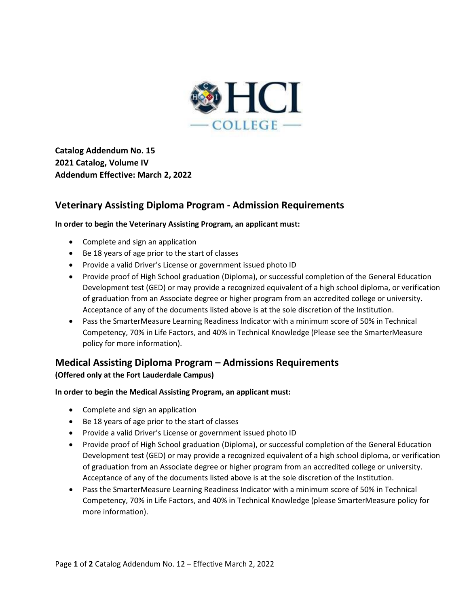

**Catalog Addendum No. 15 2021 Catalog, Volume IV Addendum Effective: March 2, 2022**

# **Veterinary Assisting Diploma Program - Admission Requirements**

#### **In order to begin the Veterinary Assisting Program, an applicant must:**

- Complete and sign an application
- Be 18 years of age prior to the start of classes
- Provide a valid Driver's License or government issued photo ID
- Provide proof of High School graduation (Diploma), or successful completion of the General Education Development test (GED) or may provide a recognized equivalent of a high school diploma, or verification of graduation from an Associate degree or higher program from an accredited college or university. Acceptance of any of the documents listed above is at the sole discretion of the Institution.
- Pass the SmarterMeasure Learning Readiness Indicator with a minimum score of 50% in Technical Competency, 70% in Life Factors, and 40% in Technical Knowledge (Please see the SmarterMeasure policy for more information).

### **Medical Assisting Diploma Program – Admissions Requirements**

### **(Offered only at the Fort Lauderdale Campus)**

#### **In order to begin the Medical Assisting Program, an applicant must:**

- Complete and sign an application
- Be 18 years of age prior to the start of classes
- Provide a valid Driver's License or government issued photo ID
- Provide proof of High School graduation (Diploma), or successful completion of the General Education Development test (GED) or may provide a recognized equivalent of a high school diploma, or verification of graduation from an Associate degree or higher program from an accredited college or university. Acceptance of any of the documents listed above is at the sole discretion of the Institution.
- Pass the SmarterMeasure Learning Readiness Indicator with a minimum score of 50% in Technical Competency, 70% in Life Factors, and 40% in Technical Knowledge (please SmarterMeasure policy for more information).